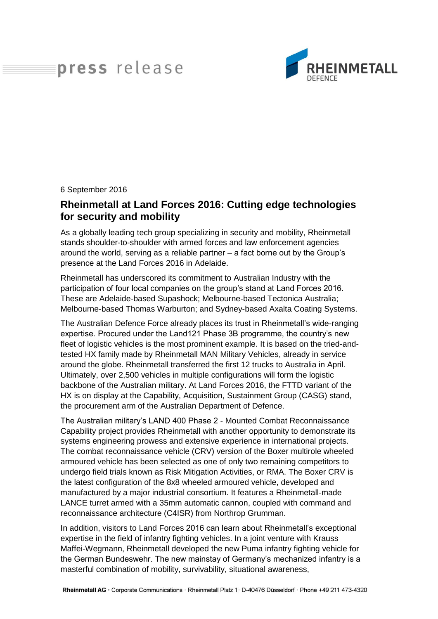# press release



#### 6 September 2016

## **Rheinmetall at Land Forces 2016: Cutting edge technologies for security and mobility**

As a globally leading tech group specializing in security and mobility, Rheinmetall stands shoulder-to-shoulder with armed forces and law enforcement agencies around the world, serving as a reliable partner – a fact borne out by the Group's presence at the Land Forces 2016 in Adelaide.

Rheinmetall has underscored its commitment to Australian Industry with the participation of four local companies on the group's stand at Land Forces 2016. These are Adelaide-based Supashock; Melbourne-based Tectonica Australia; Melbourne-based Thomas Warburton; and Sydney-based Axalta Coating Systems.

The Australian Defence Force already places its trust in Rheinmetall's wide-ranging expertise. Procured under the Land121 Phase 3B programme, the country's new fleet of logistic vehicles is the most prominent example. It is based on the tried-andtested HX family made by Rheinmetall MAN Military Vehicles, already in service around the globe. Rheinmetall transferred the first 12 trucks to Australia in April. Ultimately, over 2,500 vehicles in multiple configurations will form the logistic backbone of the Australian military. At Land Forces 2016, the FTTD variant of the HX is on display at the Capability, Acquisition, Sustainment Group (CASG) stand, the procurement arm of the Australian Department of Defence.

The Australian military's LAND 400 Phase 2 - Mounted Combat Reconnaissance Capability project provides Rheinmetall with another opportunity to demonstrate its systems engineering prowess and extensive experience in international projects. The combat reconnaissance vehicle (CRV) version of the Boxer multirole wheeled armoured vehicle has been selected as one of only two remaining competitors to undergo field trials known as Risk Mitigation Activities, or RMA. The Boxer CRV is the latest configuration of the 8x8 wheeled armoured vehicle, developed and manufactured by a major industrial consortium. It features a Rheinmetall-made LANCE turret armed with a 35mm automatic cannon, coupled with command and reconnaissance architecture (C4ISR) from Northrop Grumman.

In addition, visitors to Land Forces 2016 can learn about Rheinmetall's exceptional expertise in the field of infantry fighting vehicles. In a joint venture with Krauss Maffei-Wegmann, Rheinmetall developed the new Puma infantry fighting vehicle for the German Bundeswehr. The new mainstay of Germany's mechanized infantry is a masterful combination of mobility, survivability, situational awareness,